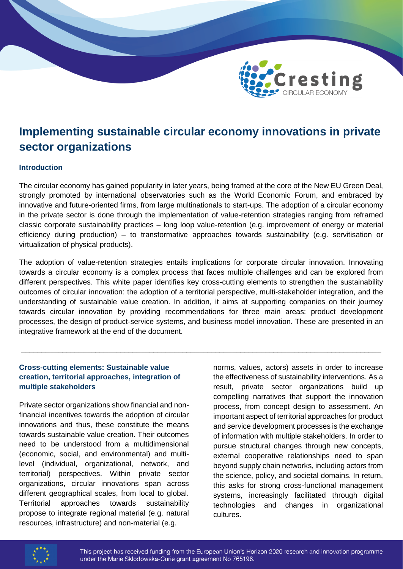

# **Implementing sustainable circular economy innovations in private sector organizations**

# **Introduction**

The circular economy has gained popularity in later years, being framed at the core of the New EU Green Deal, strongly promoted by international observatories such as the World Economic Forum, and embraced by innovative and future-oriented firms, from large multinationals to start-ups. The adoption of a circular economy in the private sector is done through the implementation of value-retention strategies ranging from reframed classic corporate sustainability practices – long loop value-retention (e.g. improvement of energy or material efficiency during production) – to transformative approaches towards sustainability (e.g. servitisation or virtualization of physical products).

The adoption of value-retention strategies entails implications for corporate circular innovation. Innovating towards a circular economy is a complex process that faces multiple challenges and can be explored from different perspectives. This white paper identifies key cross-cutting elements to strengthen the sustainability outcomes of circular innovation: the adoption of a territorial perspective, multi-stakeholder integration, and the understanding of sustainable value creation. In addition, it aims at supporting companies on their journey towards circular innovation by providing recommendations for three main areas: product development processes, the design of product-service systems, and business model innovation. These are presented in an integrative framework at the end of the document.

\_\_\_\_\_\_\_\_\_\_\_\_\_\_\_\_\_\_\_\_\_\_\_\_\_\_\_\_\_\_\_\_\_\_\_\_\_\_\_\_\_\_\_\_\_\_\_\_\_\_\_\_\_\_\_\_\_\_\_\_\_\_\_\_\_\_\_\_\_\_\_\_\_\_\_\_\_\_\_\_\_\_\_\_\_\_\_

# **Cross-cutting elements: Sustainable value creation, territorial approaches, integration of multiple stakeholders**

Private sector organizations show financial and nonfinancial incentives towards the adoption of circular innovations and thus, these constitute the means towards sustainable value creation. Their outcomes need to be understood from a multidimensional (economic, social, and environmental) and multilevel (individual, organizational, network, and territorial) perspectives. Within private sector organizations, circular innovations span across different geographical scales, from local to global. Territorial approaches towards sustainability propose to integrate regional material (e.g. natural resources, infrastructure) and non-material (e.g.

norms, values, actors) assets in order to increase the effectiveness of sustainability interventions. As a result, private sector organizations build up compelling narratives that support the innovation process, from concept design to assessment. An important aspect of territorial approaches for product and service development processes is the exchange of information with multiple stakeholders. In order to pursue structural changes through new concepts, external cooperative relationships need to span beyond supply chain networks, including actors from the science, policy, and societal domains. In return, this asks for strong cross-functional management systems, increasingly facilitated through digital technologies and changes in organizational cultures.

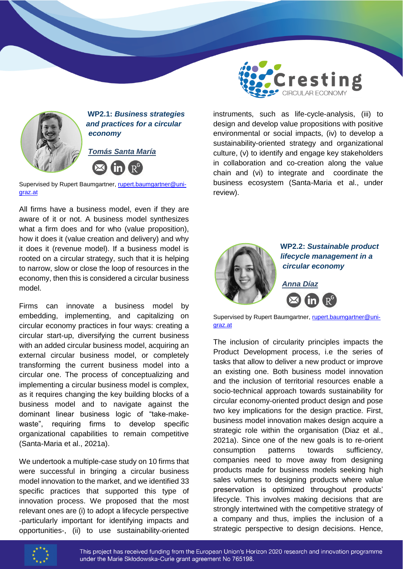

 **WP2.1:** *Business strategies and practices for a circular economy*



Supervised by Rupert Baumgartner, [rupert.baumgartner@uni](mailto:rupert.baumgartner@uni-graz.at)[graz.at](mailto:rupert.baumgartner@uni-graz.at)

All firms have a business model, even if they are aware of it or not. A business model synthesizes what a firm does and for who (value proposition), how it does it (value creation and delivery) and why it does it (revenue model). If a business model is rooted on a circular strategy, such that it is helping to narrow, slow or close the loop of resources in the economy, then this is considered a circular business model.

Firms can innovate a business model by embedding, implementing, and capitalizing on circular economy practices in four ways: creating a circular start-up, diversifying the current business with an added circular business model, acquiring an external circular business model, or completely transforming the current business model into a circular one. The process of conceptualizing and implementing a circular business model is complex, as it requires changing the key building blocks of a business model and to navigate against the dominant linear business logic of "take-makewaste", requiring firms to develop specific organizational capabilities to remain competitive (Santa-Maria et al., 2021a).

We undertook a multiple-case study on 10 firms that were successful in bringing a circular business model innovation to the market, and we identified 33 specific practices that supported this type of innovation process. We proposed that the most relevant ones are (i) to adopt a lifecycle perspective -particularly important for identifying impacts and opportunities-, (ii) to use sustainability-oriented



instruments, such as life-cycle-analysis, (iii) to design and develop value propositions with positive environmental or social impacts, (iv) to develop a sustainability-oriented strategy and organizational culture, (v) to identify and engage key stakeholders in collaboration and co-creation along the value chain and (vi) to integrate and coordinate the business ecosystem (Santa-Maria et al., under review).



 **WP2.2:** *Sustainable product lifecycle management in a circular economy*



*Anna Díaz*

[graz.at](mailto:rupert.baumgartner@uni-graz.at)

The inclusion of circularity principles impacts the Product Development process, i.e the series of tasks that allow to deliver a new product or improve an existing one. Both business model innovation and the inclusion of territorial resources enable a socio-technical approach towards sustainability for circular economy-oriented product design and pose two key implications for the design practice. First, business model innovation makes design acquire a strategic role within the organisation (Diaz et al., 2021a). Since one of the new goals is to re-orient consumption patterns towards sufficiency, companies need to move away from designing products made for business models seeking high sales volumes to designing products where value preservation is optimized throughout products' lifecycle. This involves making decisions that are strongly intertwined with the competitive strategy of a company and thus, implies the inclusion of a strategic perspective to design decisions. Hence,

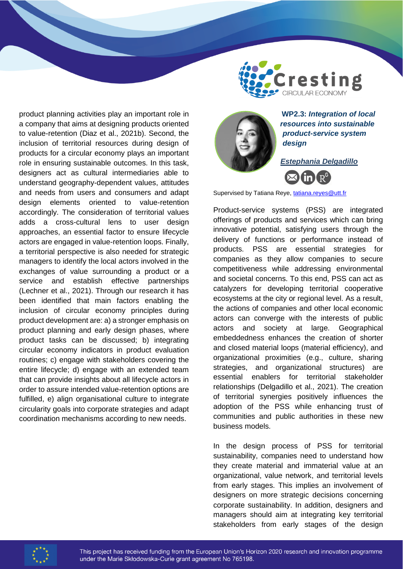

product planning activities play an important role in a company that aims at designing products oriented to value-retention (Diaz et al., 2021b). Second, the inclusion of territorial resources during design of products for a circular economy plays an important role in ensuring sustainable outcomes. In this task, designers act as cultural intermediaries able to understand geography-dependent values, attitudes and needs from users and consumers and adapt design elements oriented to value-retention accordingly. The consideration of territorial values adds a cross-cultural lens to user design approaches, an essential factor to ensure lifecycle actors are engaged in value-retention loops. Finally, a territorial perspective is also needed for strategic managers to identify the local actors involved in the exchanges of value surrounding a product or a service and establish effective partnerships (Lechner et al., 2021). Through our research it has been identified that main factors enabling the inclusion of circular economy principles during product development are: a) a stronger emphasis on product planning and early design phases, where product tasks can be discussed; b) integrating circular economy indicators in product evaluation routines; c) engage with stakeholders covering the entire lifecycle; d) engage with an extended team that can provide insights about all lifecycle actors in order to assure intended value-retention options are fulfilled, e) align organisational culture to integrate circularity goals into corporate strategies and adapt coordination mechanisms according to new needs.



 **WP2.3:** *Integration of local resources into sustainable product-service system design*

*Estephania Delgadillo*



Supervised by Tatiana Reye[, tatiana.reyes@utt.fr](mailto:tatiana.reyes@utt.fr)

Product-service systems (PSS) are integrated offerings of products and services which can bring innovative potential, satisfying users through the delivery of functions or performance instead of products. PSS are essential strategies for companies as they allow companies to secure competitiveness while addressing environmental and societal concerns. To this end, PSS can act as catalyzers for developing territorial cooperative ecosystems at the city or regional level. As a result, the actions of companies and other local economic actors can converge with the interests of public actors and society at large. Geographical embeddedness enhances the creation of shorter and closed material loops (material efficiency), and organizational proximities (e.g., culture, sharing strategies, and organizational structures) are essential enablers for territorial stakeholder relationships (Delgadillo et al., 2021). The creation of territorial synergies positively influences the adoption of the PSS while enhancing trust of communities and public authorities in these new business models.

In the design process of PSS for territorial sustainability, companies need to understand how they create material and immaterial value at an organizational, value network, and territorial levels from early stages. This implies an involvement of designers on more strategic decisions concerning corporate sustainability. In addition, designers and managers should aim at integrating key territorial stakeholders from early stages of the design

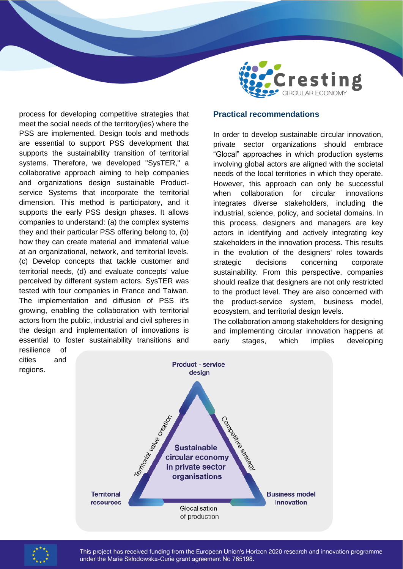

process for developing competitive strategies that meet the social needs of the territory(ies) where the PSS are implemented. Design tools and methods are essential to support PSS development that supports the sustainability transition of territorial systems. Therefore, we developed "SysTER," a collaborative approach aiming to help companies and organizations design sustainable Productservice Systems that incorporate the territorial dimension. This method is participatory, and it supports the early PSS design phases. It allows companies to understand: (a) the complex systems they and their particular PSS offering belong to, (b) how they can create material and immaterial value at an organizational, network, and territorial levels. (c) Develop concepts that tackle customer and territorial needs, (d) and evaluate concepts' value perceived by different system actors. SysTER was tested with four companies in France and Taiwan. The implementation and diffusion of PSS it's growing, enabling the collaboration with territorial actors from the public, industrial and civil spheres in the design and implementation of innovations is essential to foster sustainability transitions and resilience of

### **Practical recommendations**

In order to develop sustainable circular innovation, private sector organizations should embrace "Glocal" approaches in which production systems involving global actors are aligned with the societal needs of the local territories in which they operate. However, this approach can only be successful when collaboration for circular innovations integrates diverse stakeholders, including the industrial, science, policy, and societal domains. In this process, designers and managers are key actors in identifying and actively integrating key stakeholders in the innovation process. This results in the evolution of the designers' roles towards strategic decisions concerning corporate sustainability. From this perspective, companies should realize that designers are not only restricted to the product level. They are also concerned with the product-service system, business model, ecosystem, and territorial design levels.

The collaboration among stakeholders for designing and implementing circular innovation happens at early stages, which implies developing





regions.

This project has received funding from the European Union's Horizon 2020 research and innovation programme under the Marie Skłodowska-Curie grant agreement No 765198.